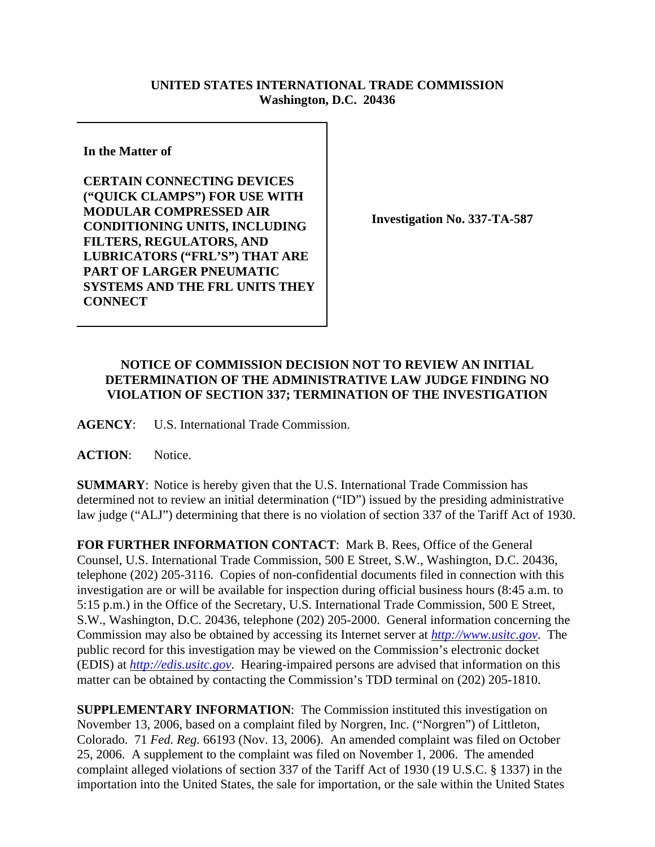## **UNITED STATES INTERNATIONAL TRADE COMMISSION Washington, D.C. 20436**

**In the Matter of** 

**CERTAIN CONNECTING DEVICES ("QUICK CLAMPS") FOR USE WITH MODULAR COMPRESSED AIR CONDITIONING UNITS, INCLUDING FILTERS, REGULATORS, AND LUBRICATORS ("FRL'S") THAT ARE PART OF LARGER PNEUMATIC SYSTEMS AND THE FRL UNITS THEY CONNECT**

**Investigation No. 337-TA-587**

## **NOTICE OF COMMISSION DECISION NOT TO REVIEW AN INITIAL DETERMINATION OF THE ADMINISTRATIVE LAW JUDGE FINDING NO VIOLATION OF SECTION 337; TERMINATION OF THE INVESTIGATION**

**AGENCY**: U.S. International Trade Commission.

**ACTION**: Notice.

**SUMMARY**: Notice is hereby given that the U.S. International Trade Commission has determined not to review an initial determination ("ID") issued by the presiding administrative law judge ("ALJ") determining that there is no violation of section 337 of the Tariff Act of 1930.

**FOR FURTHER INFORMATION CONTACT**: Mark B. Rees, Office of the General Counsel, U.S. International Trade Commission, 500 E Street, S.W., Washington, D.C. 20436, telephone (202) 205-3116. Copies of non-confidential documents filed in connection with this investigation are or will be available for inspection during official business hours (8:45 a.m. to 5:15 p.m.) in the Office of the Secretary, U.S. International Trade Commission, 500 E Street, S.W., Washington, D.C. 20436, telephone (202) 205-2000. General information concerning the Commission may also be obtained by accessing its Internet server at *http://www.usitc.gov*. The public record for this investigation may be viewed on the Commission's electronic docket (EDIS) at *http://edis.usitc.gov*. Hearing-impaired persons are advised that information on this matter can be obtained by contacting the Commission's TDD terminal on (202) 205-1810.

**SUPPLEMENTARY INFORMATION:** The Commission instituted this investigation on November 13, 2006, based on a complaint filed by Norgren, Inc. ("Norgren") of Littleton, Colorado. 71 *Fed. Reg.* 66193 (Nov. 13, 2006). An amended complaint was filed on October 25, 2006. A supplement to the complaint was filed on November 1, 2006. The amended complaint alleged violations of section 337 of the Tariff Act of 1930 (19 U.S.C. § 1337) in the importation into the United States, the sale for importation, or the sale within the United States